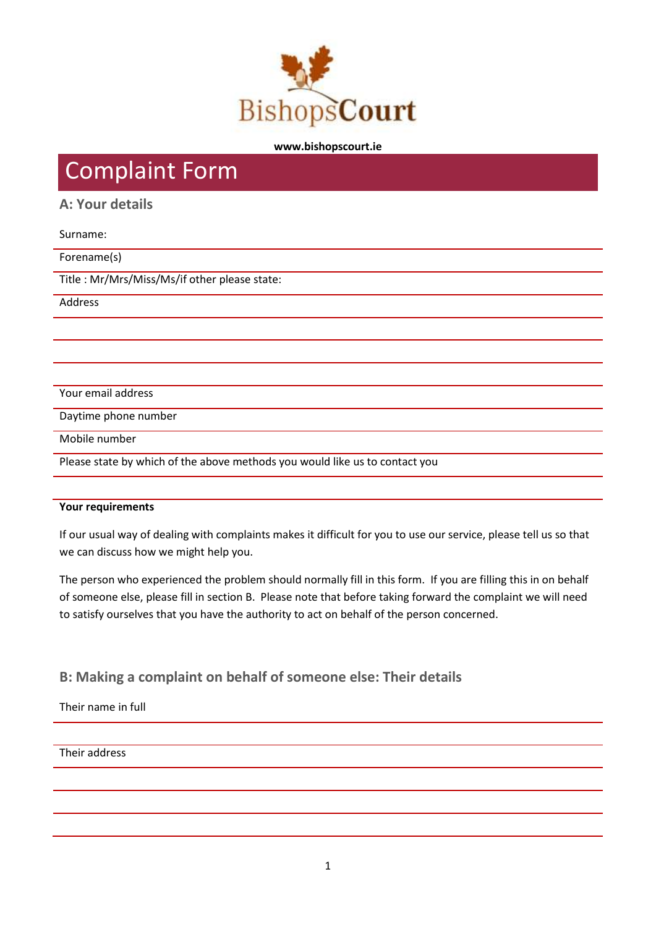

#### **www.bishopscourt.ie**

# Complaint Form

# **A: Your details**

### Surname:

### Forename(s)

Title : Mr/Mrs/Miss/Ms/if other please state:

Address

Your email address

Daytime phone number

Mobile number

Please state by which of the above methods you would like us to contact you

### **Your requirements**

If our usual way of dealing with complaints makes it difficult for you to use our service, please tell us so that we can discuss how we might help you.

The person who experienced the problem should normally fill in this form. If you are filling this in on behalf of someone else, please fill in section B. Please note that before taking forward the complaint we will need to satisfy ourselves that you have the authority to act on behalf of the person concerned.

**B: Making a complaint on behalf of someone else: Their details**

Their name in full

Their address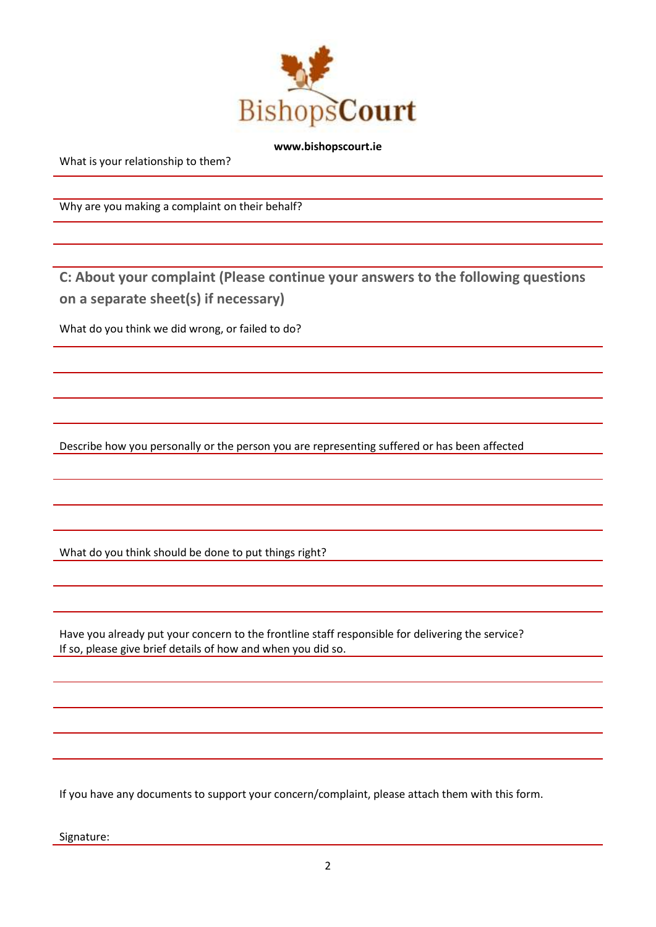

#### **www.bishopscourt.ie**

What is your relationship to them?

Why are you making a complaint on their behalf?

**C: About your complaint (Please continue your answers to the following questions on a separate sheet(s) if necessary)** 

What do you think we did wrong, or failed to do?

Describe how you personally or the person you are representing suffered or has been affected

What do you think should be done to put things right?

Have you already put your concern to the frontline staff responsible for delivering the service? If so, please give brief details of how and when you did so.

If you have any documents to support your concern/complaint, please attach them with this form.

Signature: